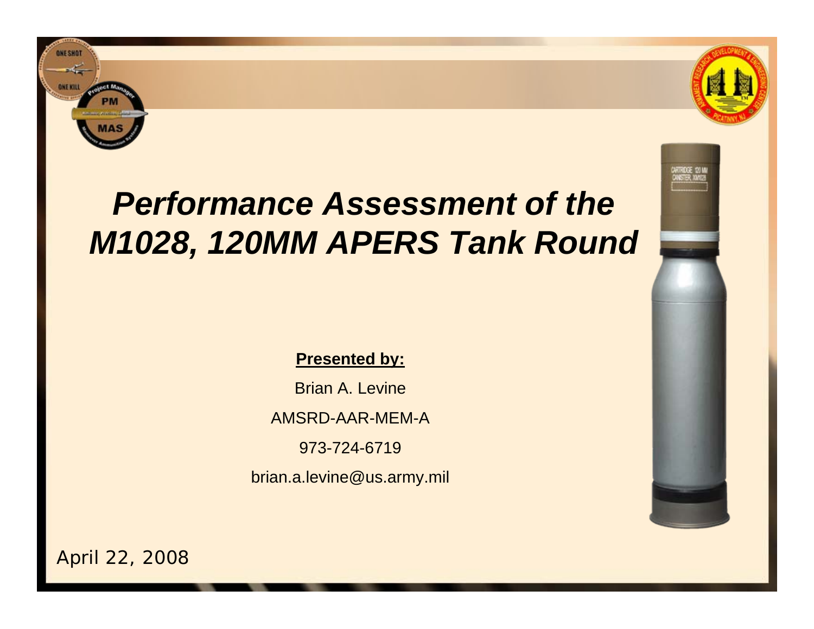

**ONE SHOT** 

# *Performance Assessment of the M1028, 120MM APERS Tank Round*

### **Presented by:**

Brian A. LevineAMSRD-AAR-MEM-A973-724-6719brian.a.levine@us.army.mil



April 22, 2008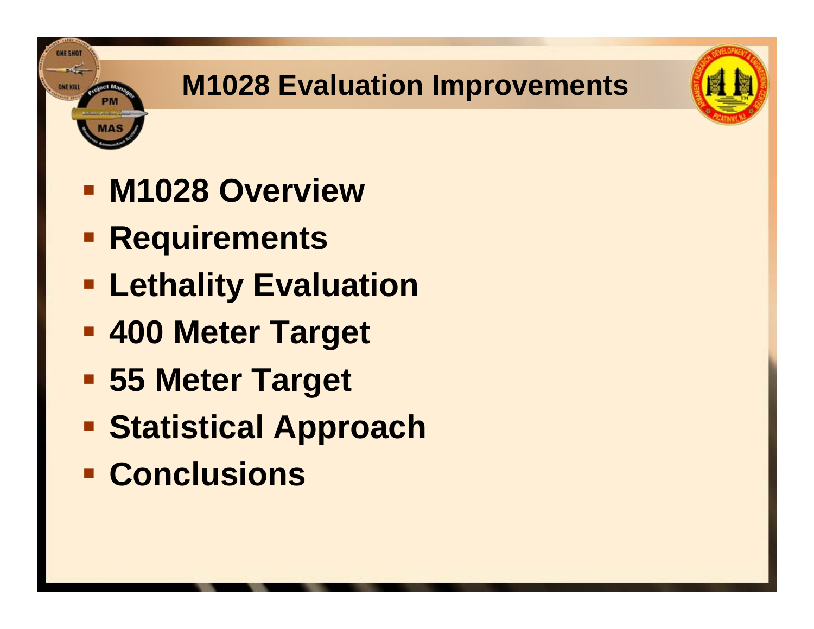# **M1028 Evaluation Improvements**



**Requirements** 

ONESHO

- **ELethality Evaluation**
- **400 Meter Target**
- **55 Meter Target**
- **F** Statistical Approach
- **E** Conclusions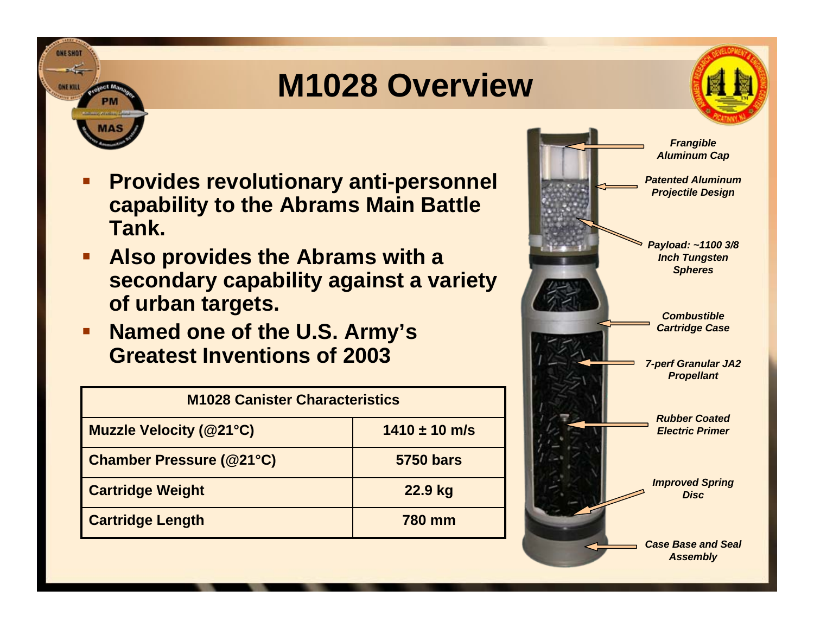# **M1028 Overview**



- **Provides revolutionary anti-personnel capability to the Abrams Main Battle Tank.**
- **Also provides the Abrams with a secondary capability against a variety of urban targets.**
- $\blacksquare$  **Named one of the U.S. Army's Greatest Inventions of 2003**

| <b>M1028 Canister Characteristics</b> |                   |  |  |  |
|---------------------------------------|-------------------|--|--|--|
| <b>Muzzle Velocity (@21°C)</b>        | $1410 \pm 10$ m/s |  |  |  |
| <b>Chamber Pressure (@21°C)</b>       | <b>5750 bars</b>  |  |  |  |
| <b>Cartridge Weight</b>               | 22.9 kg           |  |  |  |
| <b>Cartridge Length</b>               | <b>780 mm</b>     |  |  |  |

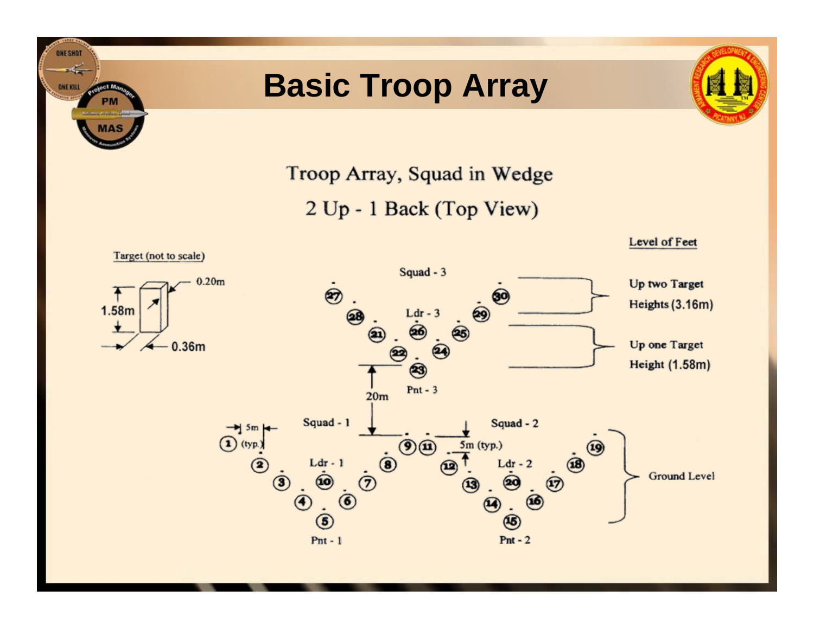# **Basic Troop Array**

**ONE SHOT** L **ONE KILL** 

olect May



Troop Array, Squad in Wedge

2 Up - 1 Back (Top View)

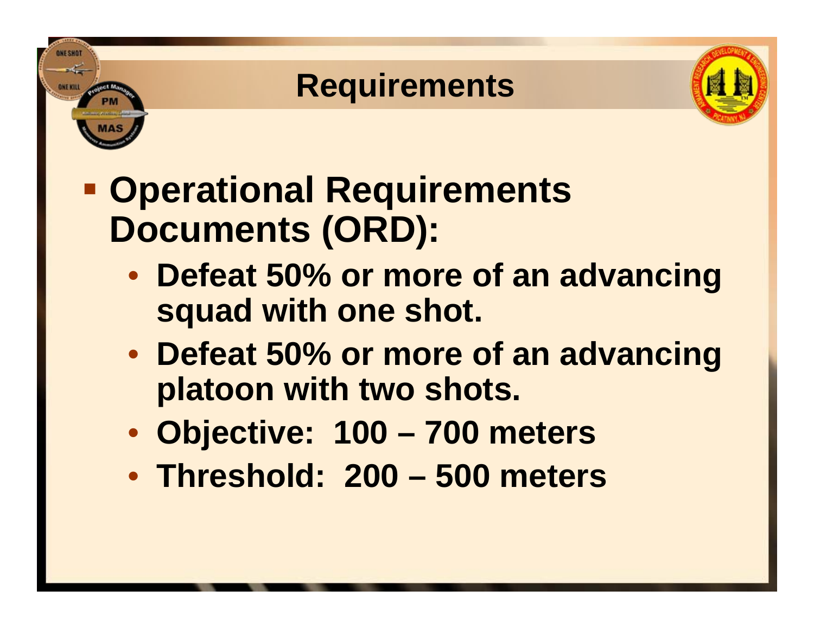# **Requirements**



- **Operational Requirements Documents (ORD):**
	- **Defeat 50% or more of an advancing squad with one shot.**
	- **Defeat 50% or more of an advancing platoon with two shots.**
	- **Objective: 100 – 700 meters**
	- **Threshold: 200 – 500 meters**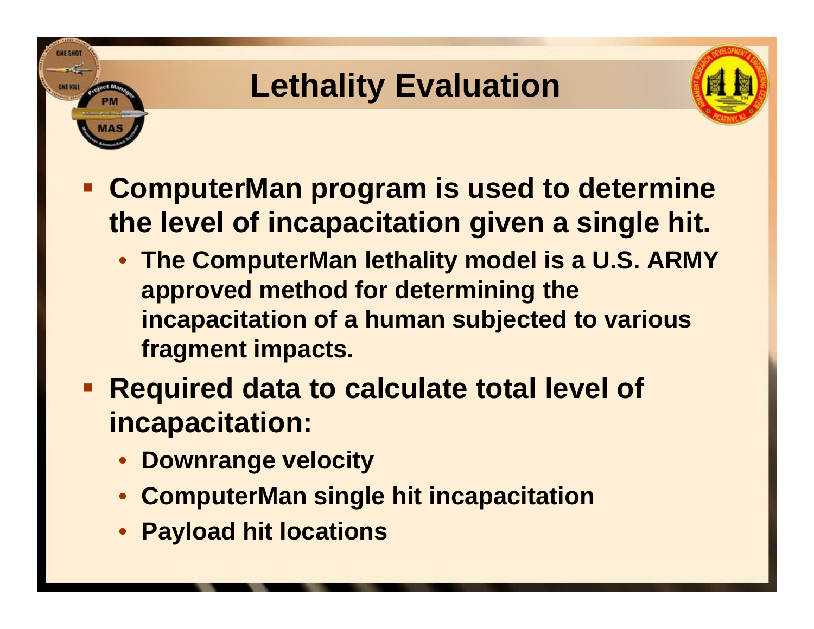# **Lethality Evaluation**



- **ComputerMan program is used to determine the level of incapacitation given a single hit.**
	- **The ComputerMan lethality model is a U.S. ARMY approved method for determining the incapacitation of a human subjected to various fragment impacts.**
- **Required data to calculate total level of incapacitation:**
	- **Downrange velocity**

- $\bullet$ **ComputerMan single hit incapacitation**
- $\bullet$ **Payload hit locations**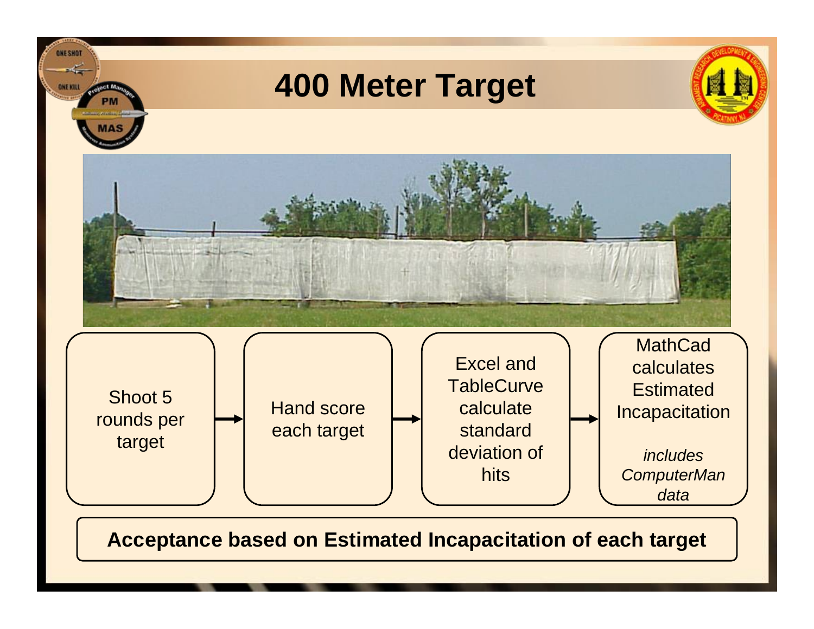

**Acceptance based on Estimated Incapacitation of each target**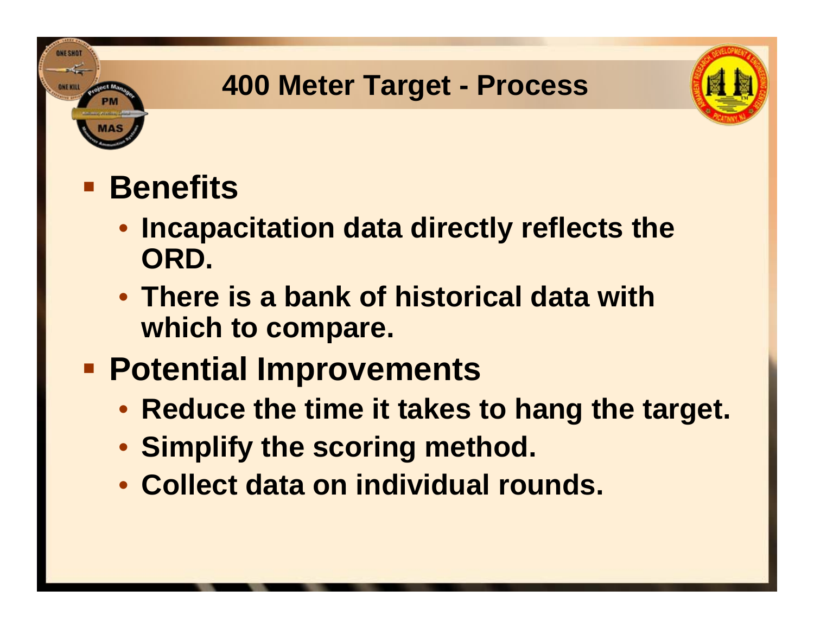## **400 Meter Target - Process**



# **Benefits**

- **Incapacitation data directly reflects the ORD.**
- **There is a bank of historical data with which to compare.**

# **Potential Improvements**

- **Reduce the time it takes to hang the target.**
- **Simplify the scoring method.**
- **Collect data on individual rounds.**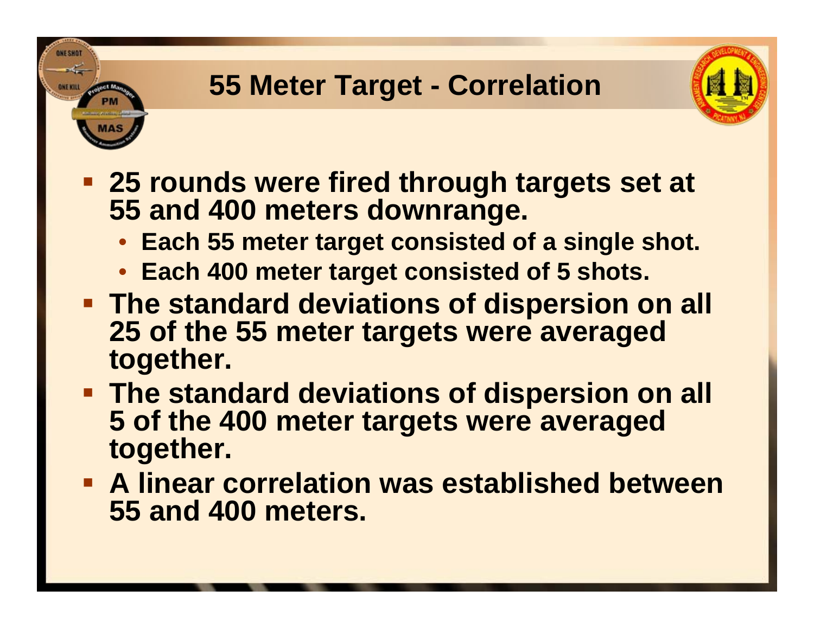## **55 Meter Target - Correlation**



- **25 rounds were fired through targets set at 55 and 400 meters downrange.**
	- **Each 55 meter target consisted of a single shot.**
	- **Each 400 meter target consisted of 5 shots.**
- **The standard deviations of dispersion on all 25 of the 55 meter targets were averaged together.**
- **The standard deviations of dispersion on all 5 of the 400 meter targets were averaged together.**
- **A linear correlation was established between 55 and 400 meters.**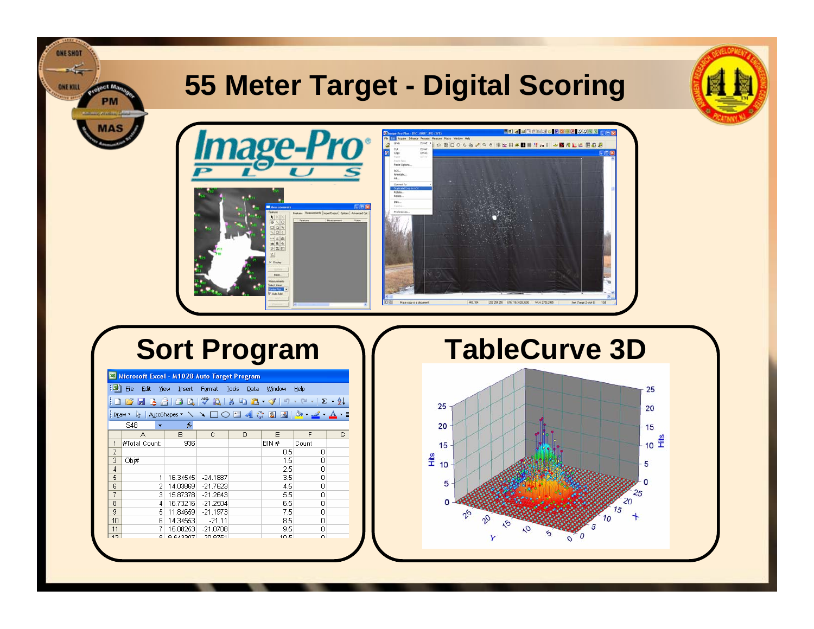## **55 Meter Target - Digital Scoring**





**ONE SHOT** 

ONEKHL

| Microsoft Excel - M1028 Auto Target Program                                                                           |               |          |            |   |      |       |    |  |  |
|-----------------------------------------------------------------------------------------------------------------------|---------------|----------|------------|---|------|-------|----|--|--|
| !력1<br><b>File</b><br>Edit<br>View<br>Format<br>Tools<br>Window<br>Help<br>Insert<br>Data                             |               |          |            |   |      |       |    |  |  |
| $A$ $B$ $C$ $C'$ $C'$ $D'$ $D'$ $D'$ $D'$ $D'$ $D'$<br>$ \sim$ $\sim$<br>$\mathbf{E} - \frac{1}{2}$<br>$\overline{A}$ |               |          |            |   |      |       |    |  |  |
| AutoShapes ヽ ヽ ヽ □ ○ _ ◀ ☆ g   ぷ   ♪ - <u>ノ - A</u><br>EDraw ▼<br>$\frac{1}{2}$                                       |               |          |            |   |      |       |    |  |  |
| S48<br>fx<br>▼                                                                                                        |               |          |            |   |      |       |    |  |  |
|                                                                                                                       | Α             | B        | C          | D | F    | F     | G. |  |  |
| 1                                                                                                                     | #Total Count: | 936      |            |   | BIN# | Count |    |  |  |
| $\overline{c}$                                                                                                        |               |          |            |   | 0.5  | Ω     |    |  |  |
| 3                                                                                                                     | Obj#          |          |            |   | 1.5  | 0     |    |  |  |
| $\overline{4}$                                                                                                        |               |          |            |   | 2.5  | 0     |    |  |  |
| 5                                                                                                                     | 1             | 16.34545 | $-24.1887$ |   | 3.5  | 0     |    |  |  |
| 6                                                                                                                     | 2             | 14.03869 | $-21.7623$ |   | 4.5  | 0     |    |  |  |
| 7                                                                                                                     | 3             | 15.87378 | $-21.2643$ |   | 5.5  | 0     |    |  |  |
| 8                                                                                                                     | 4             | 16.73216 | $-21.2504$ |   | 6.5  | 0     |    |  |  |
| 9                                                                                                                     | 5             | 11.84659 | $-21.1973$ |   | 7.5  | 0     |    |  |  |
| 10                                                                                                                    | 6             | 14.34553 | $-21.11$   |   | 8.5  | 0     |    |  |  |
| 11                                                                                                                    | 7             | 15.08253 | $-21.0708$ |   | 9.5  | 0     |    |  |  |
| 12                                                                                                                    | $\circ$       | Q GARROZ | 20.8751    |   | 10E  | O     |    |  |  |

**Sort Program 1/6 TableCurve 3D** 

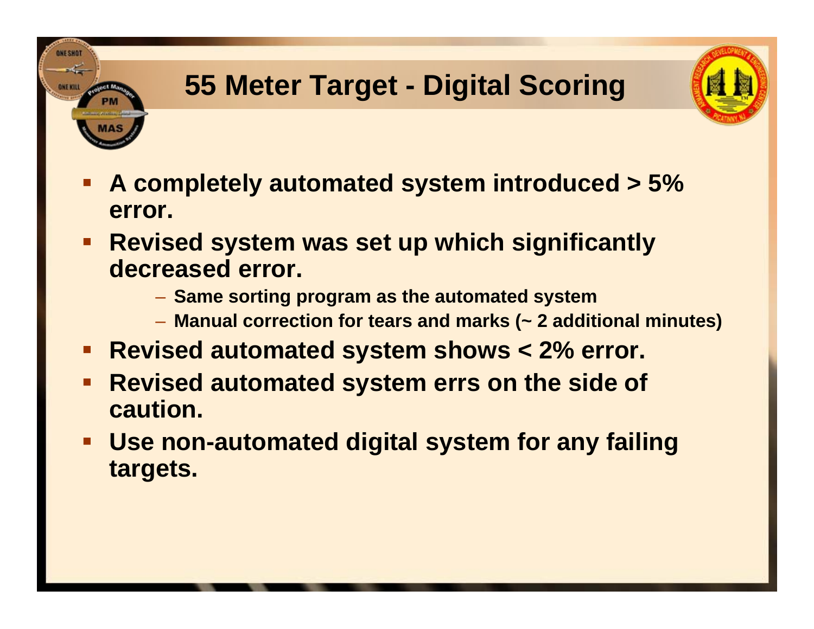# **55 Meter Target - Digital Scoring**



- $\mathcal{L}(\mathcal{L})$  **A completely automated system introduced > 5% error.**
- **Revised system was set up which significantly decreased error.**

- **Same sorting program as the automated system**
- **Manual correction for tears and marks (~ 2 additional minutes)**
- $\blacksquare$ **Revised automated system shows < 2% error.**
- $\blacksquare$  **Revised automated system errs on the side of caution.**
- **Use non-automated digital system for any failing targets.**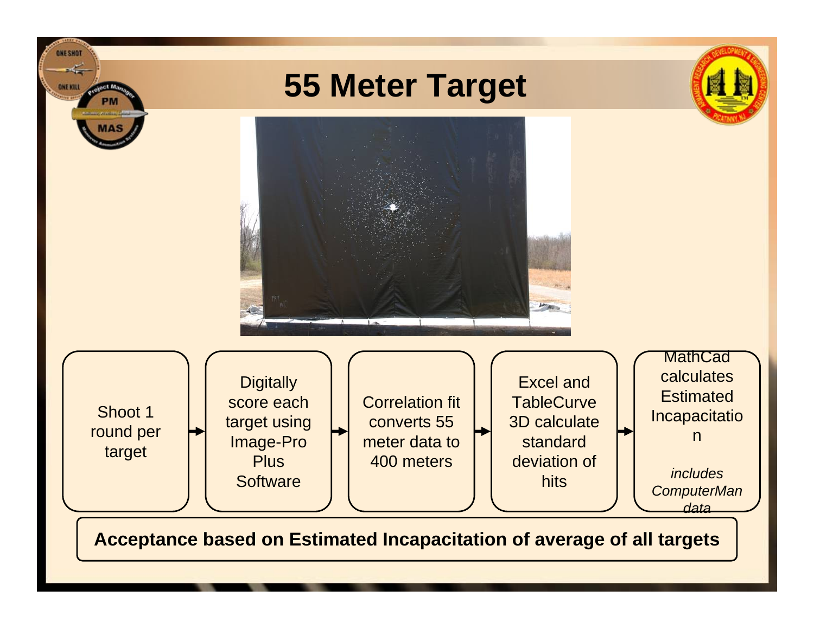

**Acceptance based on Estimated Incapacitation of average of all targets**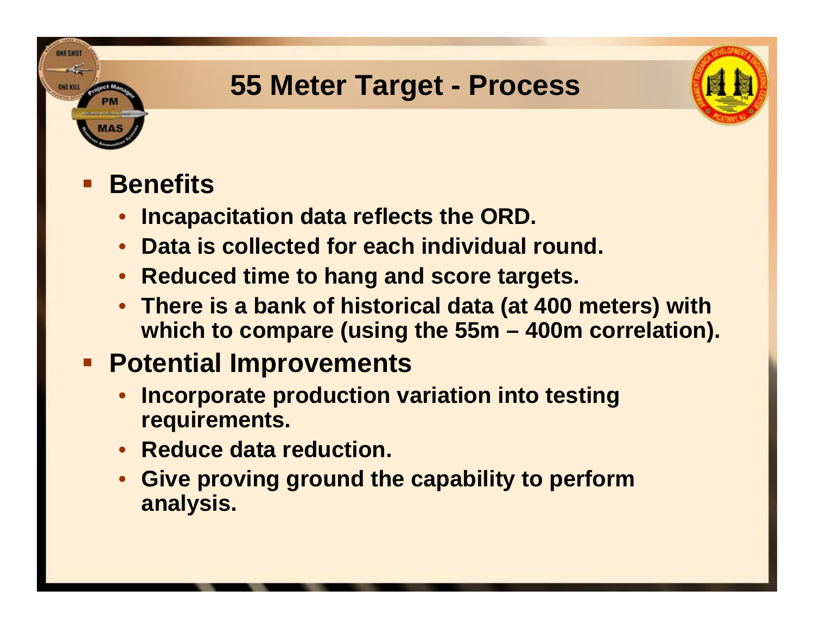## **55 Meter Target - Process**



#### $\mathcal{L}(\mathcal{L})$ **Benefits**

**ONE SHOT** 

- •**Incapacitation data reflects the ORD.**
- **Data is collected for each individual round.**
- •**Reduced time to hang and score targets.**
- **There is a bank of historical data (at 400 meters) with which to compare (using the 55m – 400m correlation).**

## **Potential Improvements**

- • **Incorporate production variation into testing requirements.**
- **Reduce data reduction.**
- **Give proving ground the capability to perform analysis.**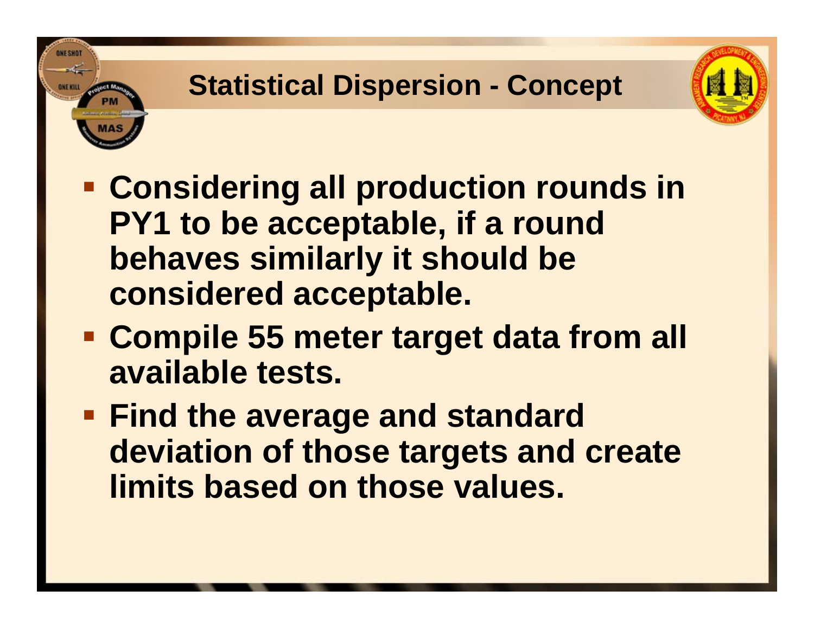# **Statistical Dispersion - Concept**



- **Considering all production rounds in PY1 to be acceptable, if a round behaves similarly it should be considered acceptable.**
- **Compile 55 meter target data from all available tests.**
- **Find the average and standard deviation of those targets and create limits based on those values.**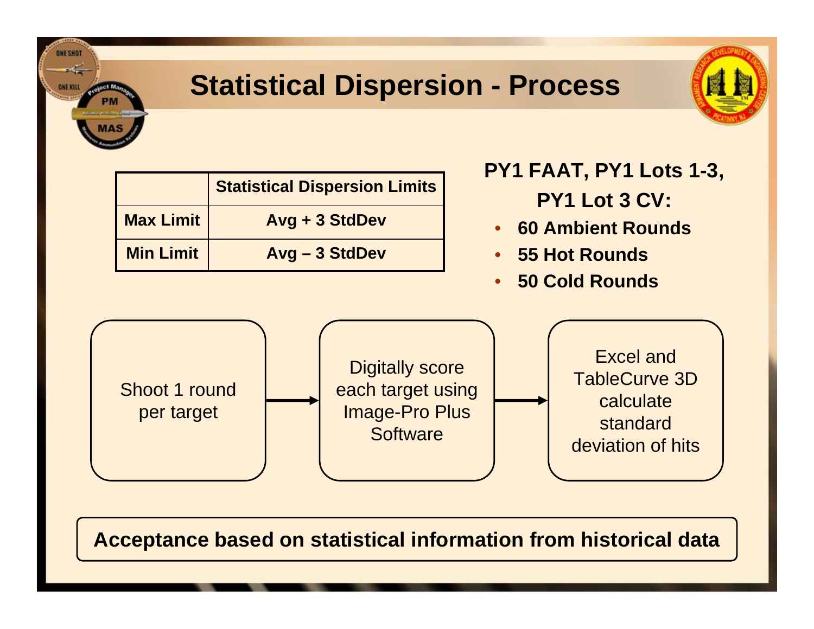## **Statistical Dispersion - Process**



|                  | <b>Statistical Dispersion Limits</b> |  |  |
|------------------|--------------------------------------|--|--|
| <b>Max Limit</b> | Avg + 3 StdDev                       |  |  |
| <b>Min Limit</b> | Avg - 3 StdDev                       |  |  |

**ONE SHOT** 

**ONE KILL** 

- **PY1 FAAT, PY1 Lots 1-3, PY1 Lot 3 CV:**
- **60 Ambient Rounds**
- •**55 Hot Rounds**
- •**50 Cold Rounds**



**Acceptance based on statistical information from historical data**